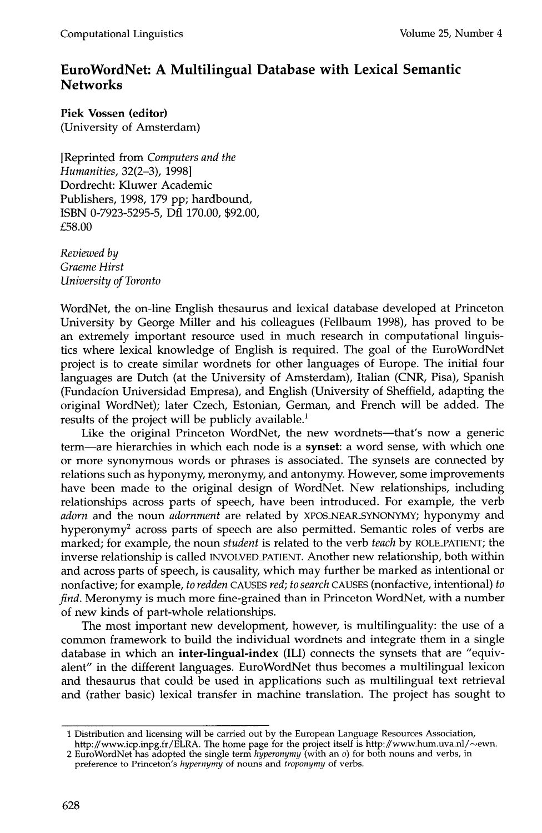## **EuroWordNet: A Multilingual Database with Lexical Semantic Networks**

**Piek Vossen (editor)**  (University of Amsterdam)

[Reprinted from *Computers and the Humanities,* 32(2-3), 1998] Dordrecht: Kluwer Academic Publishers, 1998, 179 pp; hardbound, ISBN 0-7923-5295-5, Dfl 170.00, \$92.00, £58.00

*Reviewed by Graeme Hirst University of Toronto* 

WordNet, the on-line English thesaurus and lexical database developed at Princeton University by George Miller and his colleagues (Fellbaum 1998), has proved to be an extremely important resource used in much research in computational linguistics where lexical knowledge of English is required. The goal of the EuroWordNet project is to create similar wordnets for other languages of Europe. The initial four languages are Dutch (at the University of Amsterdam), Italian (CNR, Pisa), Spanish (Fundacion Universidad Empresa), and English (University of Sheffield, adapting the original WordNet); later Czech, Estonian, German, and French will be added. The results of the project will be publicly available.<sup>1</sup>

Like the original Princeton WordNet, the new wordnets—that's now a generic term--are hierarchies in which each node is a synset: a word sense, with which one or more synonymous words or phrases is associated. The synsets are connected by relations such as hyponymy, meronymy, and antonymy. However, some improvements have been made to the original design of WordNet. New relationships, including relationships across parts of speech, have been introduced. For example, the verb *adorn* and the noun *adornment* are related by XPOS.NEAR.SYNONYMY; hyponymy and hyperonymy<sup>2</sup> across parts of speech are also permitted. Semantic roles of verbs are marked; for example, the noun *student* is related to the verb *teach* by ROLE\_PATIENT; the inverse relationship is called INVOLVED\_PATIENT. Another new relationship, both within and across parts of speech, is causality, which may further be marked as intentional or nonfactive; for example, *to redden* CAUSES *red; to search* CAUSES (nonfactive, intentional) *to find.* Meronymy is much more fine-grained than in Princeton WordNet, with a number of new kinds of part-whole relationships.

The most important new development, however, is multilinguality: the use of a common framework to build the individual wordnets and integrate them in a single database in which an **inter-lingual-index** (ILI) connects the synsets that are "equivalent" in the different languages. EuroWordNet thus becomes a multilingual lexicon and thesaurus that could be used in applications such as multilingual text retrieval and (rather basic) lexical transfer in machine translation. The project has sought to

<sup>1</sup> Distribution and licensing will be carried out by the European Language Resources Association,

http://www.icp.inpg.fr/ELRA. The home page for the project itself is http://www.hum.uva.nl/~ewn. 2 EuroWordNet has adopted the single term *hyperonymy* (with an 0) for both nouns and verbs, in

preference to Princeton's *hypernymy* of nouns and *troponymy* of verbs.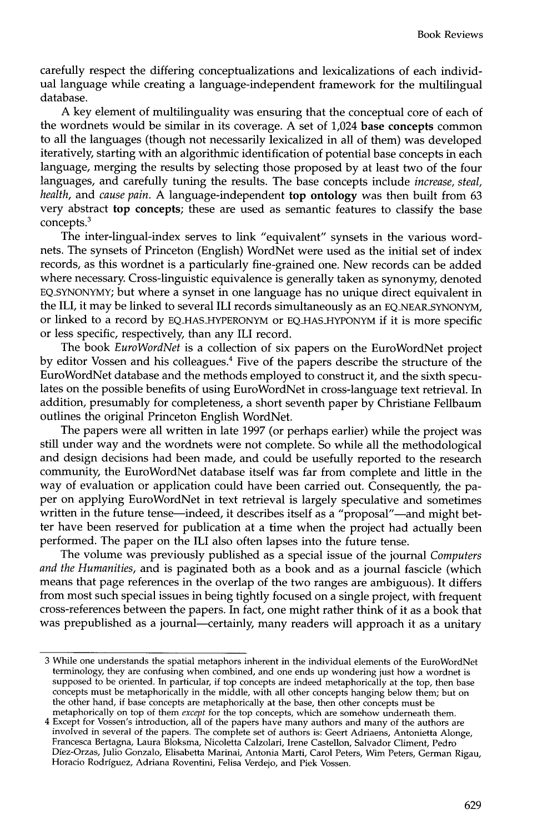carefully respect the differing conceptualizations and lexicalizations of each individual language while creating a language-independent framework for the multilingual database.

A key element of multilinguality was ensuring that the conceptual core of each of the wordnets would be similar in its coverage. A set of 1,024 base concepts common to all the languages (though not necessarily lexicalized in all of them) was developed iteratively, starting with an algorithmic identification of potential base concepts in each language, merging the results by selecting those proposed by at least two of the four languages, and carefully tuning the results. The base concepts include *increase, steal, health,* and *cause pain.* A language-independent top ontology was then built from 63 very abstract top concepts; these are used as semantic features to classify the base concepts.<sup>3</sup>

The inter-lingual-index serves to link "equivalent" synsets in the various wordnets. The synsets of Princeton (English) WordNet were used as the initial set of index records, as this wordnet is a particularly fine-grained one. New records can be added where necessary. Cross-linguistic equivalence is generally taken as synonymy, denoted EQ\_SYNONYMY; but where a synset in one language has no unique direct equivalent in the ILI, it may be linked to several ILI records simultaneously as an EQ.NEAR.SYNONYM, or linked to a record by EQ\_HAS\_HYPERONYM or EQ\_HAS\_HYPONYM if it is more specific or less specific, respectively, than any ILI record.

The book *EuroWordNet* is a collection of six papers on the EuroWordNet project by editor Vossen and his colleagues.<sup>4</sup> Five of the papers describe the structure of the EuroWordNet database and the methods employed to construct it, and the sixth speculates on the possible benefits of using EuroWordNet in cross-language text retrieval. In addition, presumably for completeness, a short seventh paper by Christiane Fellbaum outlines the original Princeton English WordNet.

The papers were all written in late 1997 (or perhaps earlier) while the project was still under way and the wordnets were not complete. So while all the methodological and design decisions had been made, and could be usefully reported to the research community, the EuroWordNet database itself was far from complete and little in the way of evaluation or application could have been carried out. Consequently, the paper on applying EuroWordNet in text retrieval is largely speculative and sometimes written in the future tense—indeed, it describes itself as a "proposal"—and might better have been reserved for publication at a time when the project had actually been performed. The paper on the ILI also often lapses into the future tense.

The volume was previously published as a special issue of the journal *Computers and the Humanities,* and is paginated both as a book and as a journal fascicle (which means that page references in the overlap of the two ranges are ambiguous). It differs from most such special issues in being tightly focused on a single project, with frequent cross-references between the papers. In fact, one might rather think of it as a book that was prepublished as a journal—certainly, many readers will approach it as a unitary

<sup>3</sup> While one understands the spatial metaphors inherent in the individual elements of the EuroWordNet terminology, they are confusing when combined, and one ends up wondering just how a wordnet is supposed to be oriented. In particular, if top concepts are indeed metaphorically at the top, then base concepts must be metaphorically in the middle, with all other concepts hanging below them; but on the other hand, if base concepts are metaphorically at the base, then other concepts must be metaphorically on top of them *except* for the top concepts, which are somehow underneath them.

<sup>4</sup> Except for Vossen's introduction, all of the papers have many authors and many of the authors are involved in several of the papers. The complete set of authors is: Geert Adriaens, Antonietta Alonge, Francesca Bertagna, Laura Bloksma, Nicoletta Calzolari, Irene Castellon, Salvador Climent, Pedro Diez-Orzas, Julio Gonzalo, Elisabetta Marinai, Antonia Marti, Carol Peters, Wim Peters, German Rigau, Horacio Rodriguez, Adriana Roventini, Felisa Verdejo, and Piek Vossen.